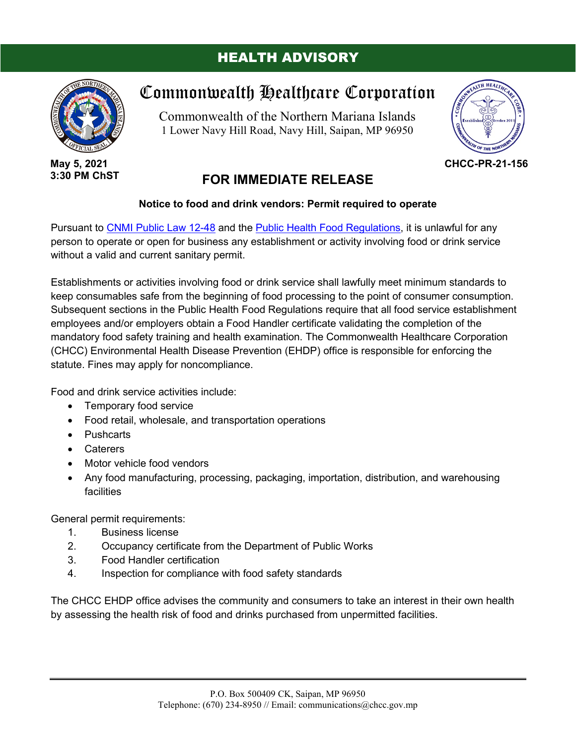## HEALTH ADVISORY



**May 5, 2021 3:30 PM ChST**

## Commonwealth Healthcare Corporation

Commonwealth of the Northern Mariana Islands 1 Lower Navy Hill Road, Navy Hill, Saipan, MP 96950



**CHCC-PR-21-156**

## **FOR IMMEDIATE RELEASE**

## **Notice to food and drink vendors: Permit required to operate**

Pursuant to [CNMI Public Law 12-48](https://chcc.gov.mp/DocumentFiles/environmentalhealth_9_2974856003.pdf) and the [Public Health Food Regulations,](https://chcc.gov.mp/DocumentFiles/BEHFiles/LawsRegs/Manufacturing,%20Packing,%20Importation,%20Distribution,%20Warehousing%20or%20the%20Holding%20of%20Food%20for%20Human%20Consumption%20Rules%20and%20Regulations.pdf) it is unlawful for any person to operate or open for business any establishment or activity involving food or drink service without a valid and current sanitary permit.

Establishments or activities involving food or drink service shall lawfully meet minimum standards to keep consumables safe from the beginning of food processing to the point of consumer consumption. Subsequent sections in the Public Health Food Regulations require that all food service establishment employees and/or employers obtain a Food Handler certificate validating the completion of the mandatory food safety training and health examination. The Commonwealth Healthcare Corporation (CHCC) Environmental Health Disease Prevention (EHDP) office is responsible for enforcing the statute. Fines may apply for noncompliance.

Food and drink service activities include:

- Temporary food service
- Food retail, wholesale, and transportation operations
- Pushcarts
- Caterers
- Motor vehicle food vendors
- Any food manufacturing, processing, packaging, importation, distribution, and warehousing facilities

General permit requirements:

- 1. Business license
- 2. Occupancy certificate from the Department of Public Works
- 3. Food Handler certification
- 4. Inspection for compliance with food safety standards

The CHCC EHDP office advises the community and consumers to take an interest in their own health by assessing the health risk of food and drinks purchased from unpermitted facilities.